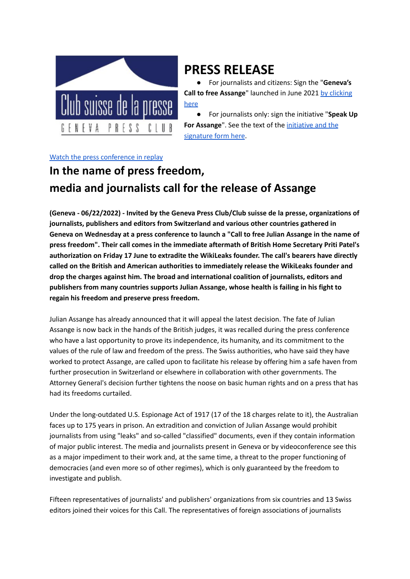

# **PRESS RELEASE**

● For journalists and citizens: Sign the "**Geneva's Call to free Assange**" launched in June 2021 by [clicking](https://www.change.org/p/geneva-call-to-uk-and-us-free-assange-gva-freeassange) [here](https://www.change.org/p/geneva-call-to-uk-and-us-free-assange-gva-freeassange)

● For journalists only: sign the initiative "**Speak Up For Assange**". See the text of the [initiative](https://speak-up-for-assange.org/) and the [signature](https://speak-up-for-assange.org/) form here.

#### Watch the press [conference](https://pressclub.ch/au-nom-de-la-liberte-de-la-presse-medias-et-journalistes-appellent-a-liberer-assange/) in replay

## **In the name of press freedom, media and journalists call for the release of Assange**

**(Geneva - 06/22/2022) - Invited by the Geneva Press Club/Club suisse de la presse, organizations of journalists, publishers and editors from Switzerland and various other countries gathered in** Geneva on Wednesday at a press conference to launch a "Call to free Julian Assange in the name of **press freedom". Their call comes in the immediate aftermath of British Home Secretary Priti Patel's authorization on Friday 17 June to extradite the WikiLeaks founder. The call's bearers have directly called on the British and American authorities to immediately release the WikiLeaks founder and drop the charges against him. The broad and international coalition of journalists, editors and publishers from many countries supports Julian Assange, whose health is failing in his fight to regain his freedom and preserve press freedom.**

Julian Assange has already announced that it will appeal the latest decision. The fate of Julian Assange is now back in the hands of the British judges, it was recalled during the press conference who have a last opportunity to prove its independence, its humanity, and its commitment to the values of the rule of law and freedom of the press. The Swiss authorities, who have said they have worked to protect Assange, are called upon to facilitate his release by offering him a safe haven from further prosecution in Switzerland or elsewhere in collaboration with other governments. The Attorney General's decision further tightens the noose on basic human rights and on a press that has had its freedoms curtailed.

Under the long-outdated U.S. Espionage Act of 1917 (17 of the 18 charges relate to it), the Australian faces up to 175 years in prison. An extradition and conviction of Julian Assange would prohibit journalists from using "leaks" and so-called "classified" documents, even if they contain information of major public interest. The media and journalists present in Geneva or by videoconference see this as a major impediment to their work and, at the same time, a threat to the proper functioning of democracies (and even more so of other regimes), which is only guaranteed by the freedom to investigate and publish.

Fifteen representatives of journalists' and publishers' organizations from six countries and 13 Swiss editors joined their voices for this Call. The representatives of foreign associations of journalists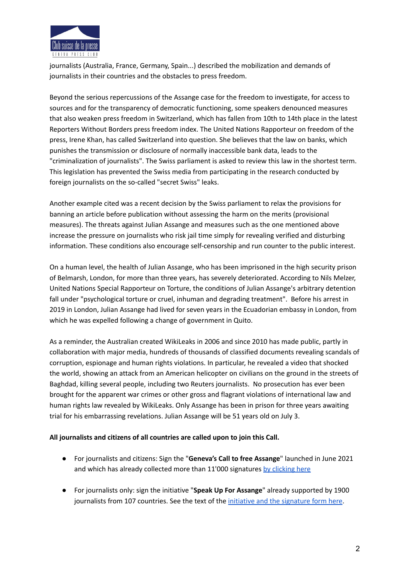

journalists (Australia, France, Germany, Spain...) described the mobilization and demands of journalists in their countries and the obstacles to press freedom.

Beyond the serious repercussions of the Assange case for the freedom to investigate, for access to sources and for the transparency of democratic functioning, some speakers denounced measures that also weaken press freedom in Switzerland, which has fallen from 10th to 14th place in the latest Reporters Without Borders press freedom index. The United Nations Rapporteur on freedom of the press, Irene Khan, has called Switzerland into question. She believes that the law on banks, which punishes the transmission or disclosure of normally inaccessible bank data, leads to the "criminalization of journalists". The Swiss parliament is asked to review this law in the shortest term. This legislation has prevented the Swiss media from participating in the research conducted by foreign journalists on the so-called "secret Swiss" leaks.

Another example cited was a recent decision by the Swiss parliament to relax the provisions for banning an article before publication without assessing the harm on the merits (provisional measures). The threats against Julian Assange and measures such as the one mentioned above increase the pressure on journalists who risk jail time simply for revealing verified and disturbing information. These conditions also encourage self-censorship and run counter to the public interest.

On a human level, the health of Julian Assange, who has been imprisoned in the high security prison of Belmarsh, London, for more than three years, has severely deteriorated. According to Nils Melzer, United Nations Special Rapporteur on Torture, the conditions of Julian Assange's arbitrary detention fall under "psychological torture or cruel, inhuman and degrading treatment". Before his arrest in 2019 in London, Julian Assange had lived for seven years in the Ecuadorian embassy in London, from which he was expelled following a change of government in Quito.

As a reminder, the Australian created WikiLeaks in 2006 and since 2010 has made public, partly in collaboration with major media, hundreds of thousands of classified documents revealing scandals of corruption, espionage and human rights violations. In particular, he revealed a video that shocked the world, showing an attack from an American helicopter on civilians on the ground in the streets of Baghdad, killing several people, including two Reuters journalists. No prosecution has ever been brought for the apparent war crimes or other gross and flagrant violations of international law and human rights law revealed by WikiLeaks. Only Assange has been in prison for three years awaiting trial for his embarrassing revelations. Julian Assange will be 51 years old on July 3.

#### **All journalists and citizens of all countries are called upon to join this Call.**

- For journalists and citizens: Sign the "**Geneva's Call to free Assange**" launched in June 2021 and which has already collected more than 11'000 signatures by [clicking](https://www.change.org/p/geneva-call-to-uk-and-us-free-assange-gva-freeassange) here
- For journalists only: sign the initiative "**Speak Up For Assange**" already supported by 1900 journalists from 107 countries. See the text of the initiative and the [signature](https://speak-up-for-assange.org/) form here.